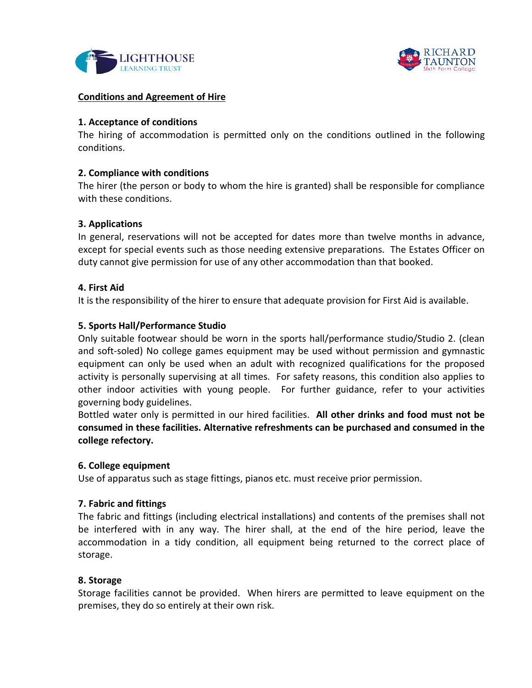



#### **Conditions and Agreement of Hire**

#### **1. Acceptance of conditions**

The hiring of accommodation is permitted only on the conditions outlined in the following conditions.

### **2. Compliance with conditions**

The hirer (the person or body to whom the hire is granted) shall be responsible for compliance with these conditions.

### **3. Applications**

In general, reservations will not be accepted for dates more than twelve months in advance, except for special events such as those needing extensive preparations. The Estates Officer on duty cannot give permission for use of any other accommodation than that booked.

### **4. First Aid**

It is the responsibility of the hirer to ensure that adequate provision for First Aid is available.

### **5. Sports Hall/Performance Studio**

Only suitable footwear should be worn in the sports hall/performance studio/Studio 2. (clean and soft-soled) No college games equipment may be used without permission and gymnastic equipment can only be used when an adult with recognized qualifications for the proposed activity is personally supervising at all times. For safety reasons, this condition also applies to other indoor activities with young people. For further guidance, refer to your activities governing body guidelines.

Bottled water only is permitted in our hired facilities. **All other drinks and food must not be consumed in these facilities. Alternative refreshments can be purchased and consumed in the college refectory.**

#### **6. College equipment**

Use of apparatus such as stage fittings, pianos etc. must receive prior permission.

### **7. Fabric and fittings**

The fabric and fittings (including electrical installations) and contents of the premises shall not be interfered with in any way. The hirer shall, at the end of the hire period, leave the accommodation in a tidy condition, all equipment being returned to the correct place of storage.

#### **8. Storage**

Storage facilities cannot be provided. When hirers are permitted to leave equipment on the premises, they do so entirely at their own risk.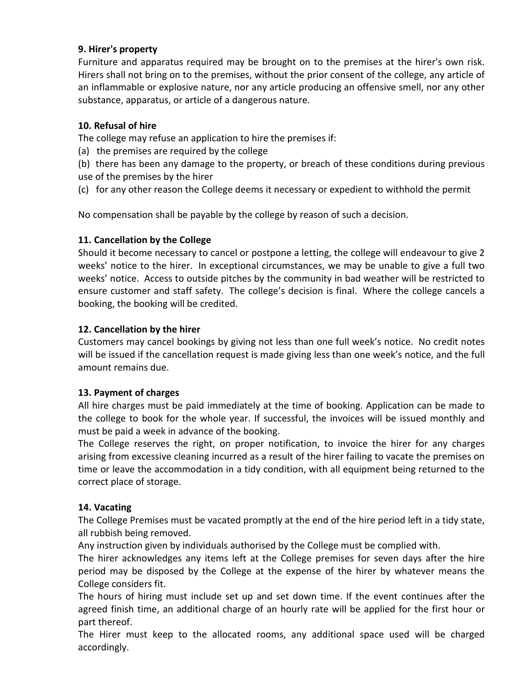# **9. Hirer's property**

Furniture and apparatus required may be brought on to the premises at the hirer's own risk. Hirers shall not bring on to the premises, without the prior consent of the college, any article of an inflammable or explosive nature, nor any article producing an offensive smell, nor any other substance, apparatus, or article of a dangerous nature.

# **10. Refusal of hire**

The college may refuse an application to hire the premises if:

(a) the premises are required by the college

(b) there has been any damage to the property, or breach of these conditions during previous use of the premises by the hirer

(c) for any other reason the College deems it necessary or expedient to withhold the permit

No compensation shall be payable by the college by reason of such a decision.

# **11. Cancellation by the College**

Should it become necessary to cancel or postpone a letting, the college will endeavour to give 2 weeks' notice to the hirer. In exceptional circumstances, we may be unable to give a full two weeks' notice. Access to outside pitches by the community in bad weather will be restricted to ensure customer and staff safety. The college's decision is final. Where the college cancels a booking, the booking will be credited.

# **12. Cancellation by the hirer**

Customers may cancel bookings by giving not less than one full week's notice. No credit notes will be issued if the cancellation request is made giving less than one week's notice, and the full amount remains due.

### **13. Payment of charges**

All hire charges must be paid immediately at the time of booking. Application can be made to the college to book for the whole year. If successful, the invoices will be issued monthly and must be paid a week in advance of the booking.

The College reserves the right, on proper notification, to invoice the hirer for any charges arising from excessive cleaning incurred as a result of the hirer failing to vacate the premises on time or leave the accommodation in a tidy condition, with all equipment being returned to the correct place of storage.

### **14. Vacating**

The College Premises must be vacated promptly at the end of the hire period left in a tidy state, all rubbish being removed.

Any instruction given by individuals authorised by the College must be complied with.

The hirer acknowledges any items left at the College premises for seven days after the hire period may be disposed by the College at the expense of the hirer by whatever means the College considers fit.

The hours of hiring must include set up and set down time. If the event continues after the agreed finish time, an additional charge of an hourly rate will be applied for the first hour or part thereof.

The Hirer must keep to the allocated rooms, any additional space used will be charged accordingly.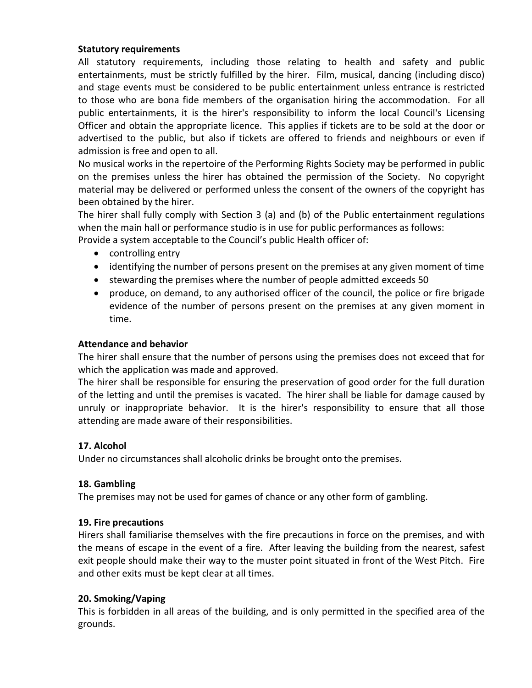### **Statutory requirements**

All statutory requirements, including those relating to health and safety and public entertainments, must be strictly fulfilled by the hirer. Film, musical, dancing (including disco) and stage events must be considered to be public entertainment unless entrance is restricted to those who are bona fide members of the organisation hiring the accommodation. For all public entertainments, it is the hirer's responsibility to inform the local Council's Licensing Officer and obtain the appropriate licence. This applies if tickets are to be sold at the door or advertised to the public, but also if tickets are offered to friends and neighbours or even if admission is free and open to all.

No musical works in the repertoire of the Performing Rights Society may be performed in public on the premises unless the hirer has obtained the permission of the Society. No copyright material may be delivered or performed unless the consent of the owners of the copyright has been obtained by the hirer.

The hirer shall fully comply with Section 3 (a) and (b) of the Public entertainment regulations when the main hall or performance studio is in use for public performances as follows: Provide a system acceptable to the Council's public Health officer of:

- controlling entry
- identifying the number of persons present on the premises at any given moment of time
- stewarding the premises where the number of people admitted exceeds 50
- produce, on demand, to any authorised officer of the council, the police or fire brigade evidence of the number of persons present on the premises at any given moment in time.

### **Attendance and behavior**

The hirer shall ensure that the number of persons using the premises does not exceed that for which the application was made and approved.

The hirer shall be responsible for ensuring the preservation of good order for the full duration of the letting and until the premises is vacated. The hirer shall be liable for damage caused by unruly or inappropriate behavior. It is the hirer's responsibility to ensure that all those attending are made aware of their responsibilities.

### **17. Alcohol**

Under no circumstances shall alcoholic drinks be brought onto the premises.

### **18. Gambling**

The premises may not be used for games of chance or any other form of gambling.

#### **19. Fire precautions**

Hirers shall familiarise themselves with the fire precautions in force on the premises, and with the means of escape in the event of a fire. After leaving the building from the nearest, safest exit people should make their way to the muster point situated in front of the West Pitch. Fire and other exits must be kept clear at all times.

### **20. Smoking/Vaping**

This is forbidden in all areas of the building, and is only permitted in the specified area of the grounds.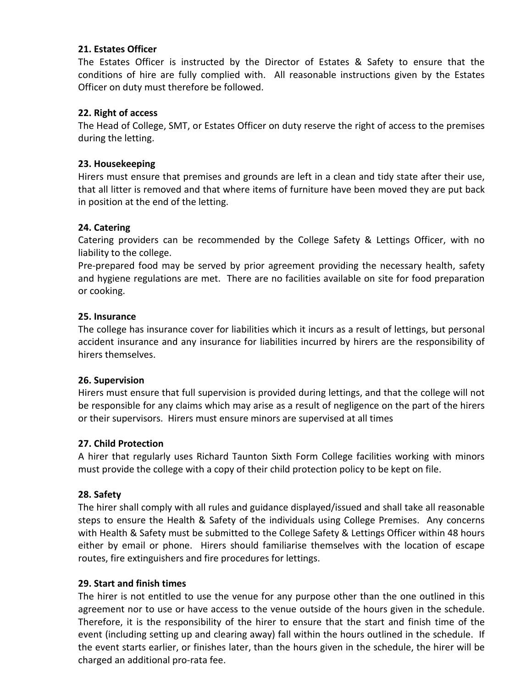### **21. Estates Officer**

The Estates Officer is instructed by the Director of Estates & Safety to ensure that the conditions of hire are fully complied with. All reasonable instructions given by the Estates Officer on duty must therefore be followed.

# **22. Right of access**

The Head of College, SMT, or Estates Officer on duty reserve the right of access to the premises during the letting.

# **23. Housekeeping**

Hirers must ensure that premises and grounds are left in a clean and tidy state after their use, that all litter is removed and that where items of furniture have been moved they are put back in position at the end of the letting.

# **24. Catering**

Catering providers can be recommended by the College Safety & Lettings Officer, with no liability to the college.

Pre-prepared food may be served by prior agreement providing the necessary health, safety and hygiene regulations are met. There are no facilities available on site for food preparation or cooking.

### **25. Insurance**

The college has insurance cover for liabilities which it incurs as a result of lettings, but personal accident insurance and any insurance for liabilities incurred by hirers are the responsibility of hirers themselves.

### **26. Supervision**

Hirers must ensure that full supervision is provided during lettings, and that the college will not be responsible for any claims which may arise as a result of negligence on the part of the hirers or their supervisors. Hirers must ensure minors are supervised at all times

# **27. Child Protection**

A hirer that regularly uses Richard Taunton Sixth Form College facilities working with minors must provide the college with a copy of their child protection policy to be kept on file.

### **28. Safety**

The hirer shall comply with all rules and guidance displayed/issued and shall take all reasonable steps to ensure the Health & Safety of the individuals using College Premises. Any concerns with Health & Safety must be submitted to the College Safety & Lettings Officer within 48 hours either by email or phone. Hirers should familiarise themselves with the location of escape routes, fire extinguishers and fire procedures for lettings.

### **29. Start and finish times**

The hirer is not entitled to use the venue for any purpose other than the one outlined in this agreement nor to use or have access to the venue outside of the hours given in the schedule. Therefore, it is the responsibility of the hirer to ensure that the start and finish time of the event (including setting up and clearing away) fall within the hours outlined in the schedule. If the event starts earlier, or finishes later, than the hours given in the schedule, the hirer will be charged an additional pro-rata fee.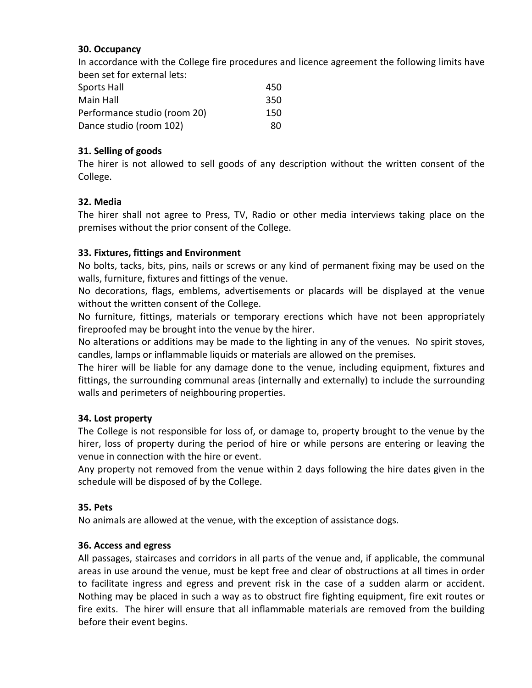# **30. Occupancy**

In accordance with the College fire procedures and licence agreement the following limits have been set for external lets:

| Sports Hall                  | 450 |
|------------------------------|-----|
| Main Hall                    | 350 |
| Performance studio (room 20) | 150 |
| Dance studio (room 102)      | 80  |

# **31. Selling of goods**

The hirer is not allowed to sell goods of any description without the written consent of the College.

# **32. Media**

The hirer shall not agree to Press, TV, Radio or other media interviews taking place on the premises without the prior consent of the College.

# **33. Fixtures, fittings and Environment**

No bolts, tacks, bits, pins, nails or screws or any kind of permanent fixing may be used on the walls, furniture, fixtures and fittings of the venue.

No decorations, flags, emblems, advertisements or placards will be displayed at the venue without the written consent of the College.

No furniture, fittings, materials or temporary erections which have not been appropriately fireproofed may be brought into the venue by the hirer.

No alterations or additions may be made to the lighting in any of the venues. No spirit stoves, candles, lamps or inflammable liquids or materials are allowed on the premises.

The hirer will be liable for any damage done to the venue, including equipment, fixtures and fittings, the surrounding communal areas (internally and externally) to include the surrounding walls and perimeters of neighbouring properties.

# **34. Lost property**

The College is not responsible for loss of, or damage to, property brought to the venue by the hirer, loss of property during the period of hire or while persons are entering or leaving the venue in connection with the hire or event.

Any property not removed from the venue within 2 days following the hire dates given in the schedule will be disposed of by the College.

### **35. Pets**

No animals are allowed at the venue, with the exception of assistance dogs.

### **36. Access and egress**

All passages, staircases and corridors in all parts of the venue and, if applicable, the communal areas in use around the venue, must be kept free and clear of obstructions at all times in order to facilitate ingress and egress and prevent risk in the case of a sudden alarm or accident. Nothing may be placed in such a way as to obstruct fire fighting equipment, fire exit routes or fire exits. The hirer will ensure that all inflammable materials are removed from the building before their event begins.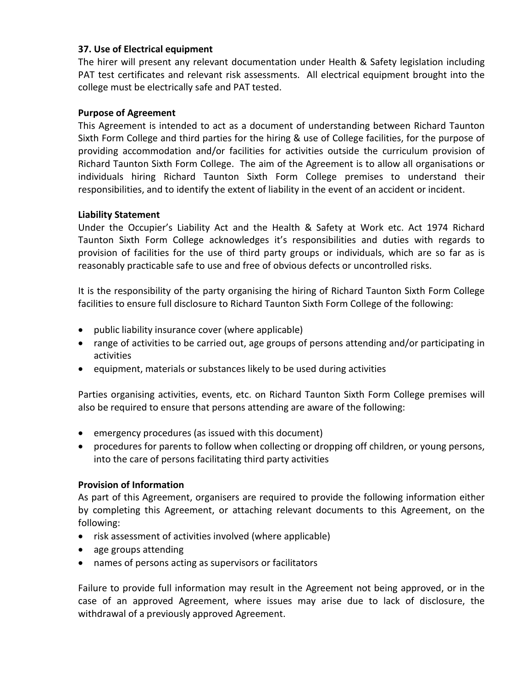### **37. Use of Electrical equipment**

The hirer will present any relevant documentation under Health & Safety legislation including PAT test certificates and relevant risk assessments. All electrical equipment brought into the college must be electrically safe and PAT tested.

# **Purpose of Agreement**

This Agreement is intended to act as a document of understanding between Richard Taunton Sixth Form College and third parties for the hiring & use of College facilities, for the purpose of providing accommodation and/or facilities for activities outside the curriculum provision of Richard Taunton Sixth Form College. The aim of the Agreement is to allow all organisations or individuals hiring Richard Taunton Sixth Form College premises to understand their responsibilities, and to identify the extent of liability in the event of an accident or incident.

# **Liability Statement**

Under the Occupier's Liability Act and the Health & Safety at Work etc. Act 1974 Richard Taunton Sixth Form College acknowledges it's responsibilities and duties with regards to provision of facilities for the use of third party groups or individuals, which are so far as is reasonably practicable safe to use and free of obvious defects or uncontrolled risks.

It is the responsibility of the party organising the hiring of Richard Taunton Sixth Form College facilities to ensure full disclosure to Richard Taunton Sixth Form College of the following:

- public liability insurance cover (where applicable)
- range of activities to be carried out, age groups of persons attending and/or participating in activities
- equipment, materials or substances likely to be used during activities

Parties organising activities, events, etc. on Richard Taunton Sixth Form College premises will also be required to ensure that persons attending are aware of the following:

- emergency procedures (as issued with this document)
- procedures for parents to follow when collecting or dropping off children, or young persons, into the care of persons facilitating third party activities

### **Provision of Information**

As part of this Agreement, organisers are required to provide the following information either by completing this Agreement, or attaching relevant documents to this Agreement, on the following:

- risk assessment of activities involved (where applicable)
- age groups attending
- names of persons acting as supervisors or facilitators

Failure to provide full information may result in the Agreement not being approved, or in the case of an approved Agreement, where issues may arise due to lack of disclosure, the withdrawal of a previously approved Agreement.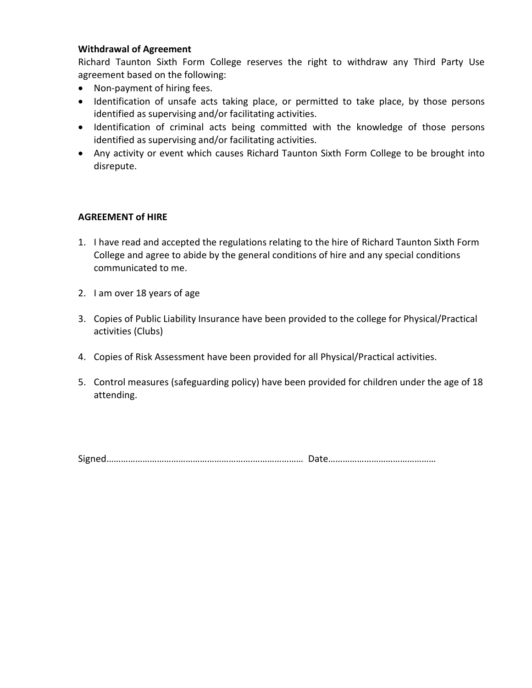### **Withdrawal of Agreement**

Richard Taunton Sixth Form College reserves the right to withdraw any Third Party Use agreement based on the following:

- Non-payment of hiring fees.
- Identification of unsafe acts taking place, or permitted to take place, by those persons identified as supervising and/or facilitating activities.
- Identification of criminal acts being committed with the knowledge of those persons identified as supervising and/or facilitating activities.
- Any activity or event which causes Richard Taunton Sixth Form College to be brought into disrepute.

### **AGREEMENT of HIRE**

- 1. I have read and accepted the regulations relating to the hire of Richard Taunton Sixth Form College and agree to abide by the general conditions of hire and any special conditions communicated to me.
- 2. I am over 18 years of age
- 3. Copies of Public Liability Insurance have been provided to the college for Physical/Practical activities (Clubs)
- 4. Copies of Risk Assessment have been provided for all Physical/Practical activities.
- 5. Control measures (safeguarding policy) have been provided for children under the age of 18 attending.

Signed…………………………………………………….………………… Date………………………………………